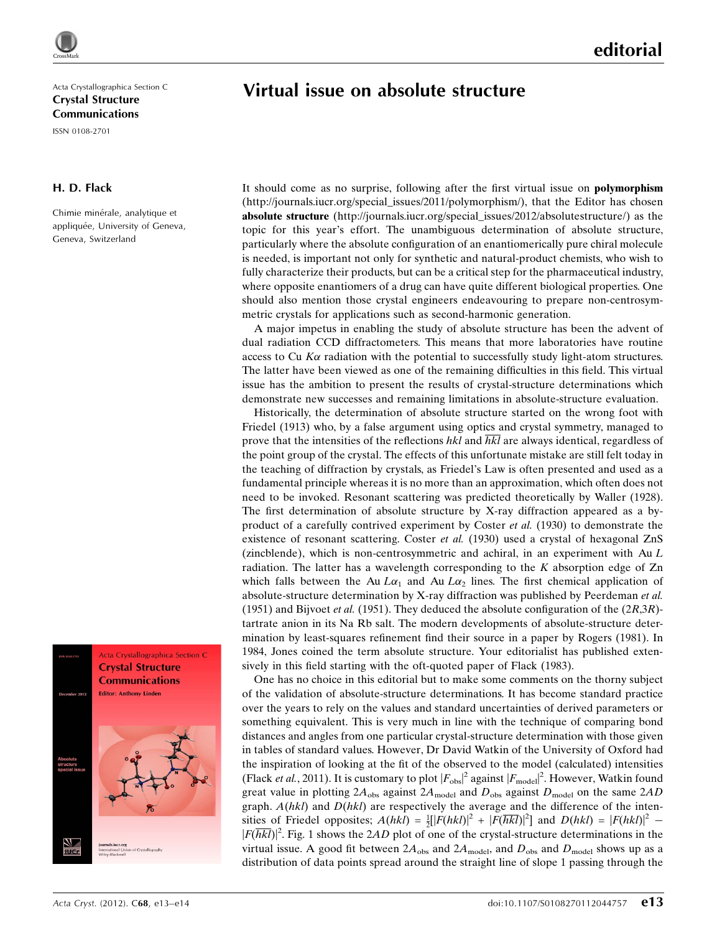# Virtual issue on absolute structure

Acta Crystallographica Section C Crystal Structure Communications

ISSN 0108-2701

### H. D. Flack

Chimie minérale, analytique et appliquée, University of Geneva, Geneva, Switzerland



It should come as no surprise, following after the first virtual issue on polymorphism (http://journals.iucr.org/special\_issues/2011/polymorphism/), that the Editor has chosen absolute structure (http://journals.iucr.org/special\_issues/2012/absolutestructure/) as the topic for this year's effort. The unambiguous determination of absolute structure, particularly where the absolute configuration of an enantiomerically pure chiral molecule is needed, is important not only for synthetic and natural-product chemists, who wish to fully characterize their products, but can be a critical step for the pharmaceutical industry, where opposite enantiomers of a drug can have quite different biological properties. One should also mention those crystal engineers endeavouring to prepare non-centrosymmetric crystals for applications such as second-harmonic generation.

A major impetus in enabling the study of absolute structure has been the advent of dual radiation CCD diffractometers. This means that more laboratories have routine access to Cu  $K\alpha$  radiation with the potential to successfully study light-atom structures. The latter have been viewed as one of the remaining difficulties in this field. This virtual issue has the ambition to present the results of crystal-structure determinations which demonstrate new successes and remaining limitations in absolute-structure evaluation.

Historically, the determination of absolute structure started on the wrong foot with Friedel (1913) who, by a false argument using optics and crystal symmetry, managed to prove that the intensities of the reflections hkl and  $\overline{hkl}$  are always identical, regardless of the point group of the crystal. The effects of this unfortunate mistake are still felt today in the teaching of diffraction by crystals, as Friedel's Law is often presented and used as a fundamental principle whereas it is no more than an approximation, which often does not need to be invoked. Resonant scattering was predicted theoretically by Waller (1928). The first determination of absolute structure by X-ray diffraction appeared as a byproduct of a carefully contrived experiment by Coster et al. (1930) to demonstrate the existence of resonant scattering. Coster *et al.* (1930) used a crystal of hexagonal ZnS (zincblende), which is non-centrosymmetric and achiral, in an experiment with  $Au L$ radiation. The latter has a wavelength corresponding to the  $K$  absorption edge of  $Zn$ which falls between the Au  $L\alpha_1$  and Au  $L\alpha_2$  lines. The first chemical application of absolute-structure determination by X-ray diffraction was published by Peerdeman et al. (1951) and Bijvoet *et al.* (1951). They deduced the absolute configuration of the  $(2R,3R)$ tartrate anion in its Na Rb salt. The modern developments of absolute-structure determination by least-squares refinement find their source in a paper by Rogers (1981). In 1984, Jones coined the term absolute structure. Your editorialist has published extensively in this field starting with the oft-quoted paper of Flack (1983).

One has no choice in this editorial but to make some comments on the thorny subject of the validation of absolute-structure determinations. It has become standard practice over the years to rely on the values and standard uncertainties of derived parameters or something equivalent. This is very much in line with the technique of comparing bond distances and angles from one particular crystal-structure determination with those given in tables of standard values. However, Dr David Watkin of the University of Oxford had the inspiration of looking at the fit of the observed to the model (calculated) intensities (Flack *et al.*, 2011). It is customary to plot  $|F_{obs}|^2$  against  $|F_{model}|^2$ . However, Watkin found great value in plotting  $2A_{obs}$  against  $2A_{model}$  and  $D_{obs}$  against  $D_{model}$  on the same  $2AD$ graph.  $A(hkl)$  and  $D(hkl)$  are respectively the average and the difference of the intensities of Friedel opposites;  $A(hkl) = \frac{1}{2} [F(hkl)]^2 + |F(\overline{hkl})|^2]$  and  $D(hkl) = |F(hkl)|^2$  - $|F(\overline{hkl})|^2$ . Fig. 1 shows the 2AD plot of one of the crystal-structure determinations in the virtual issue. A good fit between  $2A_{obs}$  and  $2A_{model}$ , and  $D_{obs}$  and  $D_{model}$  shows up as a distribution of data points spread around the straight line of slope 1 passing through the